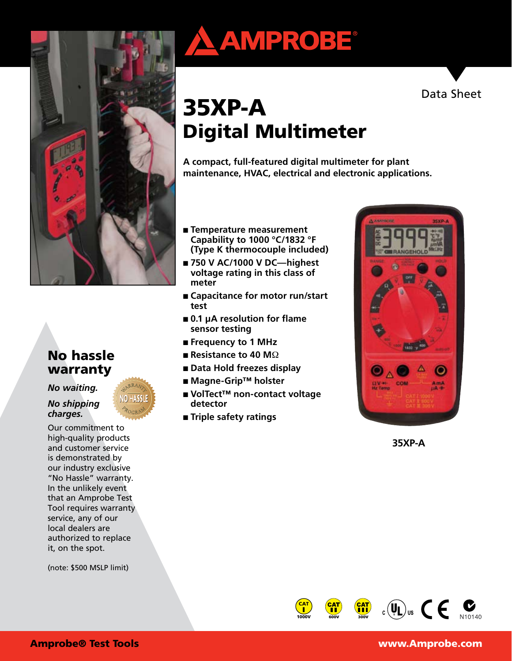

#### No hassle warranty

*No waiting.* 

#### *No shipping charges.*

Our commitment to high-quality products and customer service is demonstrated by our industry exclusive "No Hassle" warranty. In the unlikely event that an Amprobe Test Tool requires warranty service, any of our local dealers are authorized to replace it, on the spot.

(note: \$500 MSLP limit)

# AMPROBE®



## 35XP-A Digital Multimeter

**A compact, full-featured digital multimeter for plant maintenance, HVAC, electrical and electronic applications.**

- **Temperature measurement Capability to 1000 °C/1832 °F (Type K thermocouple included)**
- 750 V AC/1000 V DC—highest **voltage rating in this class of meter**
- **Capacitance for motor run/start test**
- **0.1 μA resolution for flame sensor testing**
- **Frequency to 1 MHz**
- **Resistance to 40 M**Ω
- **Data Hold freezes display**
- **Magne-Grip™ holster**
- **VolTect™ non-contact voltage detector**
- **Triple safety ratings**



**35XP-A**

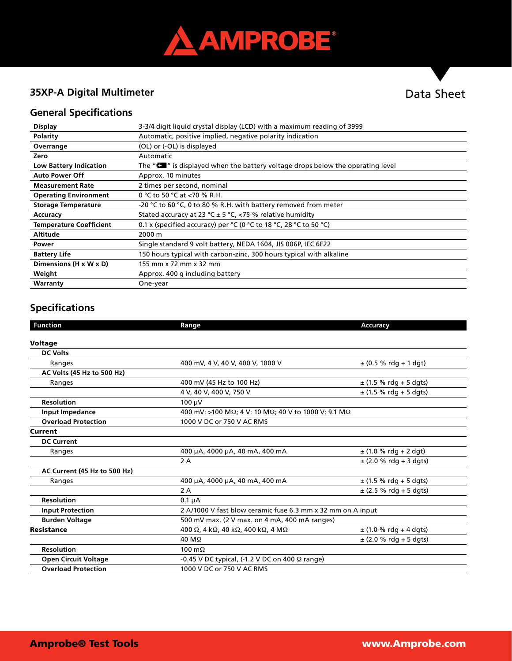

#### **35XP-A Digital Multimeter**

### Data Sheet

#### **General Specifications**

| <b>Display</b>                 | 3-3/4 digit liquid crystal display (LCD) with a maximum reading of 3999                      |
|--------------------------------|----------------------------------------------------------------------------------------------|
| Polarity                       | Automatic, positive implied, negative polarity indication                                    |
| Overrange                      | (OL) or (-OL) is displayed                                                                   |
| Zero                           | Automatic                                                                                    |
| <b>Low Battery Indication</b>  | The " $\blacksquare$ " is displayed when the battery voltage drops below the operating level |
| <b>Auto Power Off</b>          | Approx. 10 minutes                                                                           |
| <b>Measurement Rate</b>        | 2 times per second, nominal                                                                  |
| <b>Operating Environment</b>   | 0 °C to 50 °C at <70 % R.H.                                                                  |
| <b>Storage Temperature</b>     | -20 °C to 60 °C, 0 to 80 % R.H. with battery removed from meter                              |
| Accuracy                       | Stated accuracy at 23 °C ± 5 °C, <75 % relative humidity                                     |
| <b>Temperature Coefficient</b> | 0.1 x (specified accuracy) per $°C$ (0 $°C$ to 18 $°C$ , 28 $°C$ to 50 $°C$ )                |
| <b>Altitude</b>                | 2000 m                                                                                       |
| Power                          | Single standard 9 volt battery, NEDA 1604, JIS 006P, IEC 6F22                                |
| <b>Battery Life</b>            | 150 hours typical with carbon-zinc, 300 hours typical with alkaline                          |
| Dimensions (H x W x D)         | 155 mm x 72 mm x 32 mm                                                                       |
| Weight                         | Approx. 400 g including battery                                                              |
| Warranty                       | One-year                                                                                     |

#### **Specifications**

| <b>Function</b>              | Range                                                                       | <b>Accuracy</b>            |  |
|------------------------------|-----------------------------------------------------------------------------|----------------------------|--|
|                              |                                                                             |                            |  |
| <b>Voltage</b>               |                                                                             |                            |  |
| <b>DC Volts</b>              |                                                                             |                            |  |
| Ranges                       | 400 mV, 4 V, 40 V, 400 V, 1000 V                                            | $\pm$ (0.5 % rdg + 1 dgt)  |  |
| AC Volts (45 Hz to 500 Hz)   |                                                                             |                            |  |
| Ranges                       | 400 mV (45 Hz to 100 Hz)                                                    | $\pm$ (1.5 % rdg + 5 dgts) |  |
|                              | 4 V, 40 V, 400 V, 750 V                                                     | $\pm$ (1.5 % rdg + 5 dgts) |  |
| <b>Resolution</b>            | $100 \mu V$                                                                 |                            |  |
| <b>Input Impedance</b>       | 400 mV: >100 MΩ; 4 V: 10 MΩ; 40 V to 1000 V: 9.1 MΩ                         |                            |  |
| <b>Overload Protection</b>   | 1000 V DC or 750 V AC RMS                                                   |                            |  |
| <b>Current</b>               |                                                                             |                            |  |
| <b>DC Current</b>            |                                                                             |                            |  |
| Ranges                       | 400 µA, 4000 µA, 40 mA, 400 mA                                              | $\pm$ (1.0 % rdg + 2 dgt)  |  |
|                              | 2A                                                                          | $\pm$ (2.0 % rdg + 3 dgts) |  |
| AC Current (45 Hz to 500 Hz) |                                                                             |                            |  |
| Ranges                       | 400 µA, 4000 µA, 40 mA, 400 mA                                              | $\pm$ (1.5 % rdg + 5 dgts) |  |
|                              | 2 A                                                                         | $\pm$ (2.5 % rdg + 5 dgts) |  |
| <b>Resolution</b>            | $0.1 \mu A$                                                                 |                            |  |
| <b>Input Protection</b>      | 2 A/1000 V fast blow ceramic fuse 6.3 mm x 32 mm on A input                 |                            |  |
| <b>Burden Voltage</b>        | 500 mV max. (2 V max. on 4 mA, 400 mA ranges)                               |                            |  |
| <b>Resistance</b>            | 400 $\Omega$ , 4 k $\Omega$ , 40 k $\Omega$ , 400 k $\Omega$ , 4 M $\Omega$ | $\pm$ (1.0 % rdg + 4 dgts) |  |
|                              | $40 \text{ M}\Omega$                                                        | $\pm$ (2.0 % rdg + 5 dgts) |  |
| <b>Resolution</b>            | 100 $m\Omega$                                                               |                            |  |
| <b>Open Circuit Voltage</b>  | $-0.45$ V DC typical, (-1.2 V DC on 400 $\Omega$ range)                     |                            |  |
| <b>Overload Protection</b>   | 1000 V DC or 750 V AC RMS                                                   |                            |  |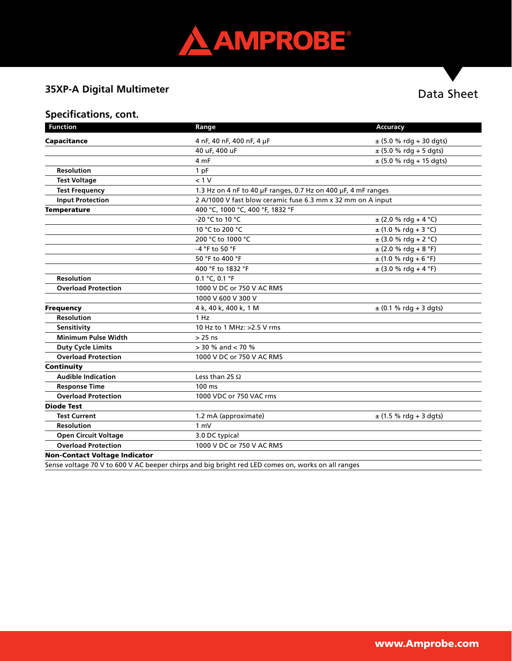

#### **35XP-A Digital Multimeter**

#### Data Sheet

#### **Specifications, cont.**

| <b>Function</b>                      | Range                                                                                                 | Accuracy                    |  |
|--------------------------------------|-------------------------------------------------------------------------------------------------------|-----------------------------|--|
| Capacitance                          | 4 nF, 40 nF, 400 nF, 4 µF                                                                             | $\pm$ (5.0 % rdg + 30 dgts) |  |
|                                      | 40 uF, 400 uF                                                                                         | $\pm$ (5.0 % rdg + 5 dgts)  |  |
|                                      | 4 mF                                                                                                  | $\pm$ (5.0 % rdg + 15 dgts) |  |
| <b>Resolution</b>                    | 1 pF                                                                                                  |                             |  |
| <b>Test Voltage</b>                  | < 1 V                                                                                                 |                             |  |
| <b>Test Frequency</b>                | 1.3 Hz on 4 nF to 40 µF ranges, 0.7 Hz on 400 µF, 4 mF ranges                                         |                             |  |
| <b>Input Protection</b>              | 2 A/1000 V fast blow ceramic fuse 6.3 mm x 32 mm on A input                                           |                             |  |
| <b>Temperature</b>                   | 400 °C, 1000 °C, 400 °F, 1832 °F                                                                      |                             |  |
|                                      | -20 °C to 10 °C                                                                                       | $\pm$ (2.0 % rdg + 4 °C)    |  |
|                                      | 10 °C to 200 °C                                                                                       | $\pm$ (1.0 % rdg + 3 °C)    |  |
|                                      | 200 °C to 1000 °C                                                                                     | $\pm$ (3.0 % rdg + 2 °C)    |  |
|                                      | -4 °F to 50 °F                                                                                        | $\pm$ (2.0 % rdg + 8 °F)    |  |
|                                      | 50 °F to 400 °F                                                                                       | $\pm$ (1.0 % rdg + 6 °F)    |  |
|                                      | 400 °F to 1832 °F                                                                                     | $\pm$ (3.0 % rdg + 4 °F)    |  |
| <b>Resolution</b>                    | 0.1 °C, 0.1 °F                                                                                        |                             |  |
| <b>Overload Protection</b>           | 1000 V DC or 750 V AC RMS                                                                             |                             |  |
|                                      | 1000 V 600 V 300 V                                                                                    |                             |  |
| <b>Frequency</b>                     | 4 k, 40 k, 400 k, 1 M                                                                                 | $\pm$ (0.1 % rdg + 3 dgts)  |  |
| Resolution                           | 1 Hz                                                                                                  |                             |  |
| Sensitivity                          | 10 Hz to 1 MHz: >2.5 V rms                                                                            |                             |  |
| <b>Minimum Pulse Width</b>           | $> 25$ ns                                                                                             |                             |  |
| <b>Duty Cycle Limits</b>             | $>$ 30 % and $<$ 70 %                                                                                 |                             |  |
| <b>Overload Protection</b>           | 1000 V DC or 750 V AC RMS                                                                             |                             |  |
| Continuity                           |                                                                                                       |                             |  |
| <b>Audible Indication</b>            | Less than 25 $\Omega$                                                                                 |                             |  |
| <b>Response Time</b>                 | 100 ms                                                                                                |                             |  |
| <b>Overload Protection</b>           | 1000 VDC or 750 VAC rms                                                                               |                             |  |
| <b>Diode Test</b>                    |                                                                                                       |                             |  |
| <b>Test Current</b>                  | 1.2 mA (approximate)                                                                                  | $\pm$ (1.5 % rdg + 3 dgts)  |  |
| <b>Resolution</b>                    | 1 mV                                                                                                  |                             |  |
| <b>Open Circuit Voltage</b>          | 3.0 DC typical                                                                                        |                             |  |
| <b>Overload Protection</b>           | 1000 V DC or 750 V AC RMS                                                                             |                             |  |
| <b>Non-Contact Voltage Indicator</b> |                                                                                                       |                             |  |
|                                      | Conce unitage 70 V to COO V AC because shirps and big bright red LED semses an unarise an all reposes |                             |  |

Sense voltage 70 V to 600 V AC beeper chirps and big bright red LED comes on, works on all ranges